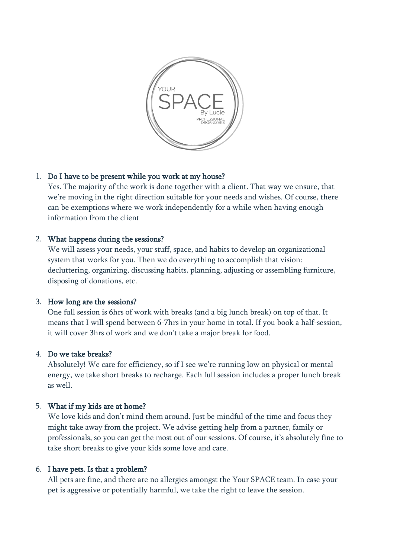

## 1. Do I have to be present while you work at my house?

Yes. The majority of the work is done together with a client. That way we ensure, that we're moving in the right direction suitable for your needs and wishes. Of course, there can be exemptions where we work independently for a while when having enough information from the client

## 2. What happens during the sessions?

We will assess your needs, your stuff, space, and habits to develop an organizational system that works for you. Then we do everything to accomplish that vision: decluttering, organizing, discussing habits, planning, adjusting or assembling furniture, disposing of donations, etc.

## 3. How long are the sessions?

One full session is 6hrs of work with breaks (and a big lunch break) on top of that. It means that I will spend between 6-7hrs in your home in total. If you book a half-session, it will cover 3hrs of work and we don't take a major break for food.

# 4. Do we take breaks?

Absolutely! We care for efficiency, so if I see we're running low on physical or mental energy, we take short breaks to recharge. Each full session includes a proper lunch break as well.

# 5. What if my kids are at home?

We love kids and don't mind them around. Just be mindful of the time and focus they might take away from the project. We advise getting help from a partner, family or professionals, so you can get the most out of our sessions. Of course, it's absolutely fine to take short breaks to give your kids some love and care.

## 6. I have pets. Is that a problem?

All pets are fine, and there are no allergies amongst the Your SPACE team. In case your pet is aggressive or potentially harmful, we take the right to leave the session.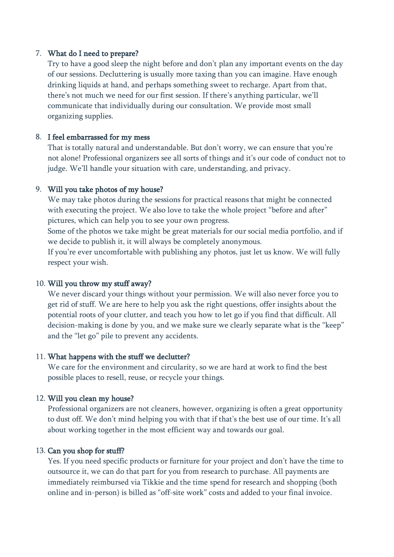## 7. What do I need to prepare?

Try to have a good sleep the night before and don't plan any important events on the day of our sessions. Decluttering is usually more taxing than you can imagine. Have enough drinking liquids at hand, and perhaps something sweet to recharge. Apart from that, there's not much we need for our first session. If there's anything particular, we'll communicate that individually during our consultation. We provide most small organizing supplies.

#### 8. I feel embarrassed for my mess

That is totally natural and understandable. But don't worry, we can ensure that you're not alone! Professional organizers see all sorts of things and it's our code of conduct not to judge. We'll handle your situation with care, understanding, and privacy.

## 9. Will you take photos of my house?

We may take photos during the sessions for practical reasons that might be connected with executing the project. We also love to take the whole project "before and after" pictures, which can help you to see your own progress.

Some of the photos we take might be great materials for our social media portfolio, and if we decide to publish it, it will always be completely anonymous.

If you're ever uncomfortable with publishing any photos, just let us know. We will fully respect your wish.

#### 10. Will you throw my stuff away?

We never discard your things without your permission. We will also never force you to get rid of stuff. We are here to help you ask the right questions, offer insights about the potential roots of your clutter, and teach you how to let go if you find that difficult. All decision-making is done by you, and we make sure we clearly separate what is the "keep" and the "let go" pile to prevent any accidents.

#### 11. What happens with the stuff we declutter?

We care for the environment and circularity, so we are hard at work to find the best possible places to resell, reuse, or recycle your things.

#### 12. Will you clean my house?

Professional organizers are not cleaners, however, organizing is often a great opportunity to dust off. We don't mind helping you with that if that's the best use of our time. It's all about working together in the most efficient way and towards our goal.

#### 13. Can you shop for stuff?

Yes. If you need specific products or furniture for your project and don't have the time to outsource it, we can do that part for you from research to purchase. All payments are immediately reimbursed via Tikkie and the time spend for research and shopping (both online and in-person) is billed as "off-site work" costs and added to your final invoice.